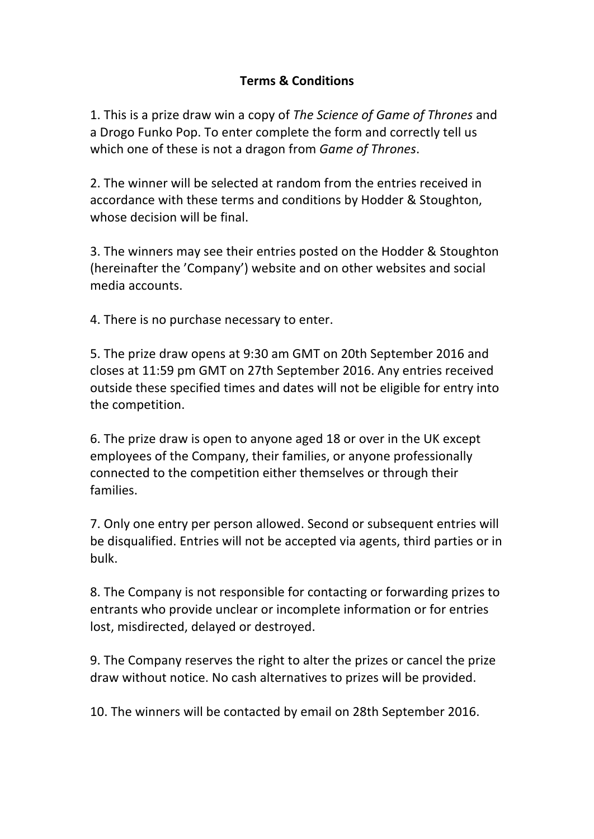## **Terms & Conditions**

1. This is a prize draw win a copy of The Science of Game of Thrones and a Drogo Funko Pop. To enter complete the form and correctly tell us which one of these is not a dragon from *Game of Thrones*.

2. The winner will be selected at random from the entries received in accordance with these terms and conditions by Hodder & Stoughton, whose decision will be final.

3. The winners may see their entries posted on the Hodder & Stoughton (hereinafter the 'Company') website and on other websites and social media accounts.

4. There is no purchase necessary to enter.

5. The prize draw opens at 9:30 am GMT on 20th September 2016 and closes at 11:59 pm GMT on 27th September 2016. Any entries received outside these specified times and dates will not be eligible for entry into the competition.

6. The prize draw is open to anyone aged 18 or over in the UK except employees of the Company, their families, or anyone professionally connected to the competition either themselves or through their families. 

7. Only one entry per person allowed. Second or subsequent entries will be disqualified. Entries will not be accepted via agents, third parties or in bulk. 

8. The Company is not responsible for contacting or forwarding prizes to entrants who provide unclear or incomplete information or for entries lost, misdirected, delayed or destroyed.

9. The Company reserves the right to alter the prizes or cancel the prize draw without notice. No cash alternatives to prizes will be provided.

10. The winners will be contacted by email on 28th September 2016.